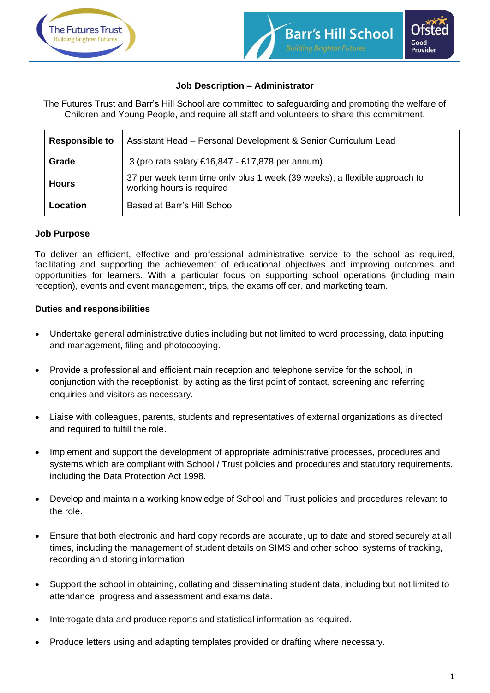



# **Job Description – Administrator**

The Futures Trust and Barr's Hill School are committed to safeguarding and promoting the welfare of Children and Young People, and require all staff and volunteers to share this commitment.

| <b>Responsible to</b> | Assistant Head - Personal Development & Senior Curriculum Lead                                         |
|-----------------------|--------------------------------------------------------------------------------------------------------|
| Grade                 | 3 (pro rata salary £16,847 - £17,878 per annum)                                                        |
| <b>Hours</b>          | 37 per week term time only plus 1 week (39 weeks), a flexible approach to<br>working hours is required |
| Location              | Based at Barr's Hill School                                                                            |

# **Job Purpose**

To deliver an efficient, effective and professional administrative service to the school as required, facilitating and supporting the achievement of educational objectives and improving outcomes and opportunities for learners. With a particular focus on supporting school operations (including main reception), events and event management, trips, the exams officer, and marketing team.

### **Duties and responsibilities**

- Undertake general administrative duties including but not limited to word processing, data inputting and management, filing and photocopying.
- Provide a professional and efficient main reception and telephone service for the school, in conjunction with the receptionist, by acting as the first point of contact, screening and referring enquiries and visitors as necessary.
- Liaise with colleagues, parents, students and representatives of external organizations as directed and required to fulfill the role.
- Implement and support the development of appropriate administrative processes, procedures and systems which are compliant with School / Trust policies and procedures and statutory requirements, including the Data Protection Act 1998.
- Develop and maintain a working knowledge of School and Trust policies and procedures relevant to the role.
- Ensure that both electronic and hard copy records are accurate, up to date and stored securely at all times, including the management of student details on SIMS and other school systems of tracking, recording an d storing information
- Support the school in obtaining, collating and disseminating student data, including but not limited to attendance, progress and assessment and exams data.
- Interrogate data and produce reports and statistical information as required.
- Produce letters using and adapting templates provided or drafting where necessary.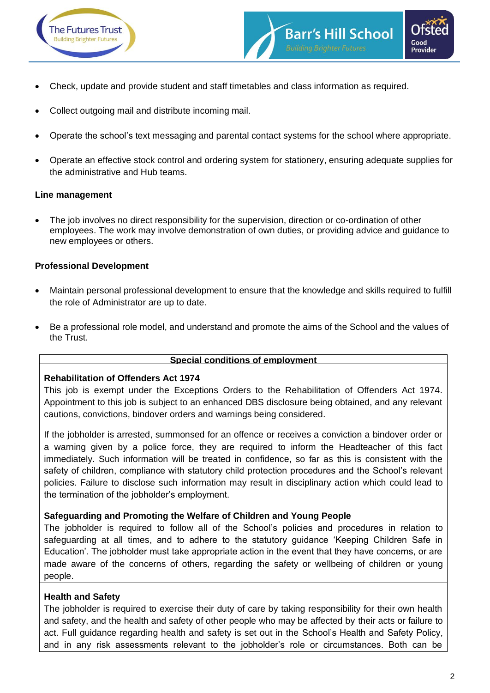



- Check, update and provide student and staff timetables and class information as required.
- Collect outgoing mail and distribute incoming mail.
- Operate the school's text messaging and parental contact systems for the school where appropriate.
- Operate an effective stock control and ordering system for stationery, ensuring adequate supplies for the administrative and Hub teams.

#### **Line management**

The job involves no direct responsibility for the supervision, direction or co-ordination of other employees. The work may involve demonstration of own duties, or providing advice and guidance to new employees or others.

#### **Professional Development**

- Maintain personal professional development to ensure that the knowledge and skills required to fulfill the role of Administrator are up to date.
- Be a professional role model, and understand and promote the aims of the School and the values of the Trust.

#### **Special conditions of employment**

#### **Rehabilitation of Offenders Act 1974**

This job is exempt under the Exceptions Orders to the Rehabilitation of Offenders Act 1974. Appointment to this job is subject to an enhanced DBS disclosure being obtained, and any relevant cautions, convictions, bindover orders and warnings being considered.

If the jobholder is arrested, summonsed for an offence or receives a conviction a bindover order or a warning given by a police force, they are required to inform the Headteacher of this fact immediately. Such information will be treated in confidence, so far as this is consistent with the safety of children, compliance with statutory child protection procedures and the School's relevant policies. Failure to disclose such information may result in disciplinary action which could lead to the termination of the jobholder's employment.

### **Safeguarding and Promoting the Welfare of Children and Young People**

The jobholder is required to follow all of the School's policies and procedures in relation to safeguarding at all times, and to adhere to the statutory guidance 'Keeping Children Safe in Education'. The jobholder must take appropriate action in the event that they have concerns, or are made aware of the concerns of others, regarding the safety or wellbeing of children or young people.

### **Health and Safety**

The jobholder is required to exercise their duty of care by taking responsibility for their own health and safety, and the health and safety of other people who may be affected by their acts or failure to act. Full guidance regarding health and safety is set out in the School's Health and Safety Policy, and in any risk assessments relevant to the jobholder's role or circumstances. Both can be